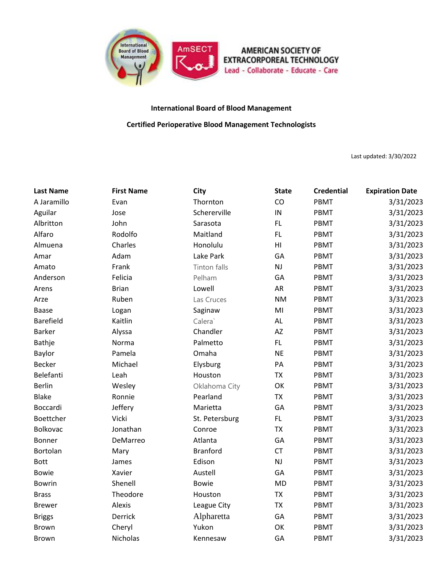

## **International Board of Blood Management**

**Certified Perioperative Blood Management Technologists**

Last updated: 3/30/2022

| <b>Last Name</b> | <b>First Name</b> | City                | <b>State</b> | <b>Credential</b> | <b>Expiration Date</b> |
|------------------|-------------------|---------------------|--------------|-------------------|------------------------|
| A Jaramillo      | Evan              | Thornton            | CO           | PBMT              | 3/31/2023              |
| Aguilar          | Jose              | Schererville        | IN           | <b>PBMT</b>       | 3/31/2023              |
| Albritton        | John              | Sarasota            | FL.          | <b>PBMT</b>       | 3/31/2023              |
| Alfaro           | Rodolfo           | Maitland            | FL.          | PBMT              | 3/31/2023              |
| Almuena          | Charles           | Honolulu            | H1           | <b>PBMT</b>       | 3/31/2023              |
| Amar             | Adam              | Lake Park           | GA           | <b>PBMT</b>       | 3/31/2023              |
| Amato            | Frank             | <b>Tinton falls</b> | NJ           | PBMT              | 3/31/2023              |
| Anderson         | Felicia           | Pelham              | GA           | PBMT              | 3/31/2023              |
| Arens            | <b>Brian</b>      | Lowell              | AR           | PBMT              | 3/31/2023              |
| Arze             | Ruben             | Las Cruces          | <b>NM</b>    | PBMT              | 3/31/2023              |
| <b>Baase</b>     | Logan             | Saginaw             | MI           | PBMT              | 3/31/2023              |
| <b>Barefield</b> | Kaitlin           | Calera <sup>`</sup> | AL           | PBMT              | 3/31/2023              |
| <b>Barker</b>    | Alyssa            | Chandler            | AZ           | PBMT              | 3/31/2023              |
| Bathje           | Norma             | Palmetto            | FL.          | <b>PBMT</b>       | 3/31/2023              |
| Baylor           | Pamela            | Omaha               | <b>NE</b>    | <b>PBMT</b>       | 3/31/2023              |
| <b>Becker</b>    | Michael           | Elysburg            | PA           | PBMT              | 3/31/2023              |
| Belefanti        | Leah              | Houston             | <b>TX</b>    | PBMT              | 3/31/2023              |
| <b>Berlin</b>    | Wesley            | Oklahoma City       | OK           | PBMT              | 3/31/2023              |
| <b>Blake</b>     | Ronnie            | Pearland            | <b>TX</b>    | PBMT              | 3/31/2023              |
| Boccardi         | Jeffery           | Marietta            | GA           | PBMT              | 3/31/2023              |
| Boettcher        | Vicki             | St. Petersburg      | FL           | PBMT              | 3/31/2023              |
| <b>Bolkovac</b>  | Jonathan          | Conroe              | <b>TX</b>    | PBMT              | 3/31/2023              |
| Bonner           | DeMarreo          | Atlanta             | GA           | <b>PBMT</b>       | 3/31/2023              |
| Bortolan         | Mary              | <b>Branford</b>     | <b>CT</b>    | <b>PBMT</b>       | 3/31/2023              |
| <b>Bott</b>      | James             | Edison              | NJ           | PBMT              | 3/31/2023              |
| <b>Bowie</b>     | Xavier            | Austell             | GA           | PBMT              | 3/31/2023              |
| <b>Bowrin</b>    | Shenell           | <b>Bowie</b>        | <b>MD</b>    | PBMT              | 3/31/2023              |
| <b>Brass</b>     | Theodore          | Houston             | <b>TX</b>    | PBMT              | 3/31/2023              |
| <b>Brewer</b>    | Alexis            | League City         | <b>TX</b>    | PBMT              | 3/31/2023              |
| <b>Briggs</b>    | Derrick           | Alpharetta          | GA           | PBMT              | 3/31/2023              |
| <b>Brown</b>     | Cheryl            | Yukon               | OK           | <b>PBMT</b>       | 3/31/2023              |
| <b>Brown</b>     | Nicholas          | Kennesaw            | GA           | PBMT              | 3/31/2023              |
|                  |                   |                     |              |                   |                        |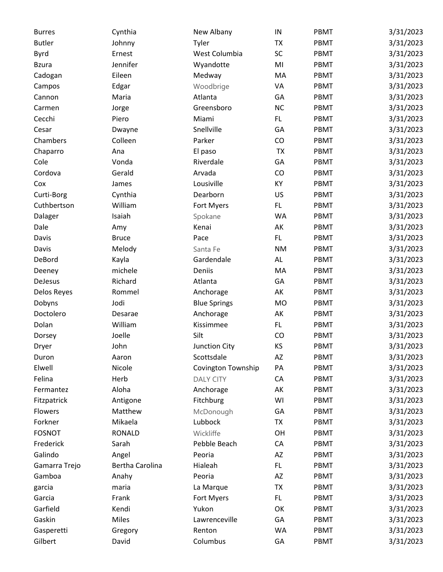| <b>Burres</b> | Cynthia         | New Albany                | ${\sf IN}$ | PBMT | 3/31/2023 |
|---------------|-----------------|---------------------------|------------|------|-----------|
| <b>Butler</b> | Johnny          | Tyler                     | <b>TX</b>  | PBMT | 3/31/2023 |
| Byrd          | Ernest          | West Columbia             | SC         | PBMT | 3/31/2023 |
| <b>Bzura</b>  | Jennifer        | Wyandotte                 | MI         | PBMT | 3/31/2023 |
| Cadogan       | Eileen          | Medway                    | MA         | PBMT | 3/31/2023 |
| Campos        | Edgar           | Woodbrige                 | VA         | PBMT | 3/31/2023 |
| Cannon        | Maria           | Atlanta                   | GA         | PBMT | 3/31/2023 |
| Carmen        | Jorge           | Greensboro                | NC         | PBMT | 3/31/2023 |
| Cecchi        | Piero           | Miami                     | FL.        | PBMT | 3/31/2023 |
| Cesar         | Dwayne          | Snellville                | GA         | PBMT | 3/31/2023 |
| Chambers      | Colleen         | Parker                    | CO         | PBMT | 3/31/2023 |
| Chaparro      | Ana             | El paso                   | <b>TX</b>  | PBMT | 3/31/2023 |
| Cole          | Vonda           | Riverdale                 | GA         | PBMT | 3/31/2023 |
| Cordova       | Gerald          | Arvada                    | CO         | PBMT | 3/31/2023 |
| Cox           | James           | Lousiville                | KY         | PBMT | 3/31/2023 |
| Curti-Borg    | Cynthia         | Dearborn                  | US         | PBMT | 3/31/2023 |
| Cuthbertson   | William         | Fort Myers                | FL.        | PBMT | 3/31/2023 |
| Dalager       | Isaiah          | Spokane                   | <b>WA</b>  | PBMT | 3/31/2023 |
| Dale          |                 | Kenai                     | AK         | PBMT | 3/31/2023 |
|               | Amy             | Pace                      | FL.        | PBMT | 3/31/2023 |
| Davis         | <b>Bruce</b>    |                           |            |      |           |
| Davis         | Melody          | Santa Fe                  | <b>NM</b>  | PBMT | 3/31/2023 |
| DeBord        | Kayla           | Gardendale                | AL         | PBMT | 3/31/2023 |
| Deeney        | michele         | Deniis                    | MA         | PBMT | 3/31/2023 |
| DeJesus       | Richard         | Atlanta                   | GA         | PBMT | 3/31/2023 |
| Delos Reyes   | Rommel          | Anchorage                 | AK         | PBMT | 3/31/2023 |
| Dobyns        | Jodi            | <b>Blue Springs</b>       | <b>MO</b>  | PBMT | 3/31/2023 |
| Doctolero     | Desarae         | Anchorage                 | AK         | PBMT | 3/31/2023 |
| Dolan         | William         | Kissimmee                 | FL.        | PBMT | 3/31/2023 |
| Dorsey        | Joelle          | Silt                      | CO         | PBMT | 3/31/2023 |
| Dryer         | John            | Junction City             | KS         | PBMT | 3/31/2023 |
| Duron         | Aaron           | Scottsdale                | AZ         | PBMT | 3/31/2023 |
| Elwell        | Nicole          | <b>Covington Township</b> | PA         | PBMT | 3/31/2023 |
| Felina        | Herb            | <b>DALY CITY</b>          | CA         | PBMT | 3/31/2023 |
| Fermantez     | Aloha           | Anchorage                 | AK         | PBMT | 3/31/2023 |
| Fitzpatrick   | Antigone        | Fitchburg                 | WI         | PBMT | 3/31/2023 |
| Flowers       | Matthew         | McDonough                 | GA         | PBMT | 3/31/2023 |
| Forkner       | Mikaela         | Lubbock                   | <b>TX</b>  | PBMT | 3/31/2023 |
| <b>FOSNOT</b> | <b>RONALD</b>   | Wickliffe                 | OH         | PBMT | 3/31/2023 |
| Frederick     | Sarah           | Pebble Beach              | CA         | PBMT | 3/31/2023 |
| Galindo       | Angel           | Peoria                    | AZ         | PBMT | 3/31/2023 |
| Gamarra Trejo | Bertha Carolina | Hialeah                   | FL.        | PBMT | 3/31/2023 |
| Gamboa        | Anahy           | Peoria                    | AZ         | PBMT | 3/31/2023 |
| garcia        | maria           | La Marque                 | <b>TX</b>  | PBMT | 3/31/2023 |
| Garcia        | Frank           | Fort Myers                | FL.        | PBMT | 3/31/2023 |
| Garfield      | Kendi           | Yukon                     | OK         | PBMT | 3/31/2023 |
| Gaskin        | Miles           | Lawrenceville             | GA         | PBMT | 3/31/2023 |
| Gasperetti    | Gregory         | Renton                    | WA         | PBMT | 3/31/2023 |
| Gilbert       | David           | Columbus                  | GA         | PBMT | 3/31/2023 |
|               |                 |                           |            |      |           |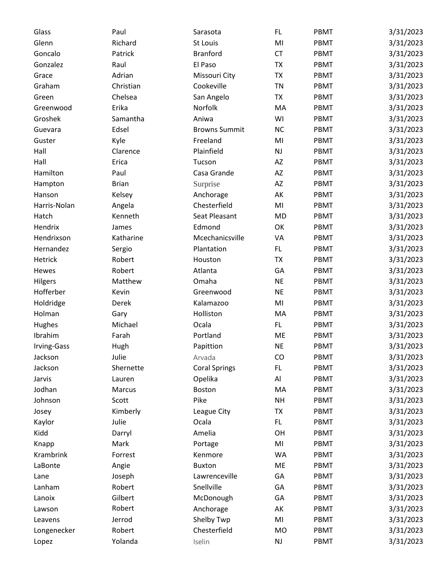| Glass        | Paul          | Sarasota             | FL.                    | PBMT        | 3/31/2023 |
|--------------|---------------|----------------------|------------------------|-------------|-----------|
| Glenn        | Richard       | St Louis             | MI                     | PBMT        | 3/31/2023 |
| Goncalo      | Patrick       | <b>Branford</b>      | <b>CT</b>              | PBMT        | 3/31/2023 |
| Gonzalez     | Raul          | El Paso              | <b>TX</b>              | PBMT        | 3/31/2023 |
| Grace        | Adrian        | Missouri City        | <b>TX</b>              | PBMT        | 3/31/2023 |
| Graham       | Christian     | Cookeville           | <b>TN</b>              | PBMT        | 3/31/2023 |
| Green        | Chelsea       | San Angelo           | <b>TX</b>              | PBMT        | 3/31/2023 |
| Greenwood    | Erika         | Norfolk              | MA                     | PBMT        | 3/31/2023 |
| Groshek      | Samantha      | Aniwa                | WI                     | PBMT        | 3/31/2023 |
| Guevara      | Edsel         | <b>Browns Summit</b> | NC                     | PBMT        | 3/31/2023 |
| Guster       | Kyle          | Freeland             | MI                     | PBMT        | 3/31/2023 |
| Hall         | Clarence      | Plainfield           | NJ                     | PBMT        | 3/31/2023 |
| Hall         | Erica         | Tucson               | AZ                     | PBMT        | 3/31/2023 |
| Hamilton     | Paul          | Casa Grande          | $\mathsf{A}\mathsf{Z}$ | PBMT        | 3/31/2023 |
| Hampton      | <b>Brian</b>  | Surprise             | AZ                     | PBMT        | 3/31/2023 |
| Hanson       | Kelsey        | Anchorage            | AK                     | PBMT        | 3/31/2023 |
| Harris-Nolan | Angela        | Chesterfield         | MI                     | PBMT        | 3/31/2023 |
| Hatch        | Kenneth       | Seat Pleasant        | <b>MD</b>              | PBMT        | 3/31/2023 |
| Hendrix      | James         | Edmond               | OK                     | PBMT        | 3/31/2023 |
| Hendrixson   | Katharine     | Mcechanicsville      | VA                     | PBMT        | 3/31/2023 |
| Hernandez    | Sergio        | Plantation           | FL.                    | PBMT        | 3/31/2023 |
| Hetrick      | Robert        | Houston              | <b>TX</b>              | PBMT        | 3/31/2023 |
| Hewes        | Robert        | Atlanta              | GA                     | PBMT        | 3/31/2023 |
| Hilgers      | Matthew       | Omaha                | <b>NE</b>              | PBMT        | 3/31/2023 |
| Hofferber    | Kevin         | Greenwood            | <b>NE</b>              | PBMT        | 3/31/2023 |
| Holdridge    | Derek         | Kalamazoo            | MI                     | PBMT        | 3/31/2023 |
| Holman       | Gary          | Holliston            | MA                     | PBMT        | 3/31/2023 |
| Hughes       | Michael       | Ocala                | FL.                    | PBMT        | 3/31/2023 |
| Ibrahim      | Farah         | Portland             | ME                     | PBMT        | 3/31/2023 |
| Irving-Gass  | Hugh          | Papittion            | <b>NE</b>              | <b>PBMT</b> | 3/31/2023 |
| Jackson      | Julie         | Arvada               | CO                     | PBMT        | 3/31/2023 |
| Jackson      | Shernette     | <b>Coral Springs</b> | FL.                    | PBMT        | 3/31/2023 |
| Jarvis       | Lauren        | Opelika              | Al                     | PBMT        | 3/31/2023 |
| Jodhan       | <b>Marcus</b> | Boston               | MA                     | PBMT        | 3/31/2023 |
| Johnson      | Scott         | Pike                 | <b>NH</b>              | PBMT        | 3/31/2023 |
| Josey        | Kimberly      | League City          | <b>TX</b>              | PBMT        | 3/31/2023 |
| Kaylor       | Julie         | Ocala                | FL.                    | PBMT        | 3/31/2023 |
| Kidd         | Darryl        | Amelia               | OH                     | PBMT        | 3/31/2023 |
| Knapp        | Mark          | Portage              | MI                     | PBMT        | 3/31/2023 |
| Krambrink    | Forrest       | Kenmore              | <b>WA</b>              | PBMT        | 3/31/2023 |
| LaBonte      | Angie         | <b>Buxton</b>        | ME                     | PBMT        | 3/31/2023 |
| Lane         | Joseph        | Lawrenceville        | GA                     | PBMT        | 3/31/2023 |
| Lanham       | Robert        | Snellville           | GA                     | PBMT        | 3/31/2023 |
| Lanoix       | Gilbert       | McDonough            | GA                     | PBMT        | 3/31/2023 |
| Lawson       | Robert        | Anchorage            | AK                     | PBMT        | 3/31/2023 |
| Leavens      | Jerrod        | Shelby Twp           | MI                     | PBMT        | 3/31/2023 |
| Longenecker  | Robert        | Chesterfield         | <b>MO</b>              | PBMT        | 3/31/2023 |
| Lopez        | Yolanda       | Iselin               | $\mathsf{NJ}$          | PBMT        | 3/31/2023 |
|              |               |                      |                        |             |           |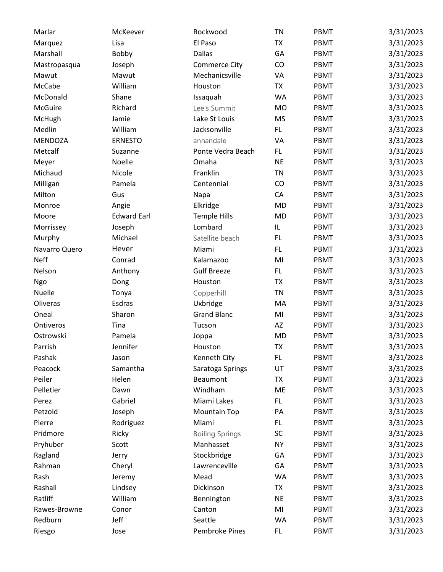| Marlar         | McKeever           | Rockwood               | <b>TN</b> | PBMT        | 3/31/2023 |
|----------------|--------------------|------------------------|-----------|-------------|-----------|
| Marquez        | Lisa               | El Paso                | <b>TX</b> | PBMT        | 3/31/2023 |
| Marshall       | Bobby              | <b>Dallas</b>          | GA        | PBMT        | 3/31/2023 |
| Mastropasqua   | Joseph             | <b>Commerce City</b>   | CO        | PBMT        | 3/31/2023 |
| Mawut          | Mawut              | Mechanicsville         | VA        | PBMT        | 3/31/2023 |
| McCabe         | William            | Houston                | <b>TX</b> | PBMT        | 3/31/2023 |
| McDonald       | Shane              | Issaquah               | <b>WA</b> | PBMT        | 3/31/2023 |
| <b>McGuire</b> | Richard            | Lee's Summit           | <b>MO</b> | PBMT        | 3/31/2023 |
| McHugh         | Jamie              | Lake St Louis          | <b>MS</b> | PBMT        | 3/31/2023 |
| Medlin         | William            | Jacksonville           | FL.       | PBMT        | 3/31/2023 |
| <b>MENDOZA</b> | <b>ERNESTO</b>     | annandale              | VA        | PBMT        | 3/31/2023 |
| Metcalf        | Suzanne            | Ponte Vedra Beach      | FL.       | PBMT        | 3/31/2023 |
| Meyer          | Noelle             | Omaha                  | <b>NE</b> | PBMT        | 3/31/2023 |
| Michaud        | Nicole             | Franklin               | <b>TN</b> | PBMT        | 3/31/2023 |
| Milligan       | Pamela             | Centennial             | CO        | PBMT        | 3/31/2023 |
| Milton         | Gus                | Napa                   | CA        | PBMT        | 3/31/2023 |
| Monroe         | Angie              | Elkridge               | <b>MD</b> | PBMT        | 3/31/2023 |
| Moore          | <b>Edward Earl</b> | <b>Temple Hills</b>    | <b>MD</b> | PBMT        | 3/31/2023 |
| Morrissey      | Joseph             | Lombard                | IL        | PBMT        | 3/31/2023 |
| Murphy         | Michael            | Satellite beach        | FL.       | PBMT        | 3/31/2023 |
| Navarro Quero  | Hever              | Miami                  | FL.       | PBMT        | 3/31/2023 |
| <b>Neff</b>    | Conrad             | Kalamazoo              | MI        | PBMT        | 3/31/2023 |
| Nelson         | Anthony            | <b>Gulf Breeze</b>     | FL.       | PBMT        | 3/31/2023 |
| Ngo            | Dong               | Houston                | <b>TX</b> | PBMT        | 3/31/2023 |
| Nuelle         | Tonya              | Copperhill             | <b>TN</b> | PBMT        | 3/31/2023 |
| Oliveras       | Esdras             | Uxbridge               | MA        | PBMT        | 3/31/2023 |
| Oneal          | Sharon             | <b>Grand Blanc</b>     | MI        | PBMT        | 3/31/2023 |
| Ontiveros      | Tina               | Tucson                 | AZ        | PBMT        | 3/31/2023 |
| Ostrowski      | Pamela             | Joppa                  | <b>MD</b> | PBMT        | 3/31/2023 |
| Parrish        | Jennifer           | Houston                | <b>TX</b> | <b>PBMT</b> | 3/31/2023 |
| Pashak         | Jason              | Kenneth City           | FL.       | PBMT        | 3/31/2023 |
| Peacock        | Samantha           | Saratoga Springs       | UT        | PBMT        | 3/31/2023 |
| Peiler         | Helen              | Beaumont               | <b>TX</b> | PBMT        | 3/31/2023 |
| Pelletier      | Dawn               | Windham                | ME        | PBMT        | 3/31/2023 |
| Perez          | Gabriel            | Miami Lakes            | FL.       | PBMT        | 3/31/2023 |
| Petzold        | Joseph             | <b>Mountain Top</b>    | PA        | PBMT        | 3/31/2023 |
| Pierre         | Rodriguez          | Miami                  | FL.       | PBMT        | 3/31/2023 |
| Pridmore       | Ricky              | <b>Boiling Springs</b> | <b>SC</b> | PBMT        | 3/31/2023 |
| Pryhuber       | Scott              | Manhasset              | <b>NY</b> | PBMT        | 3/31/2023 |
| Ragland        | Jerry              | Stockbridge            | GA        | PBMT        | 3/31/2023 |
| Rahman         | Cheryl             | Lawrenceville          | GA        | PBMT        | 3/31/2023 |
| Rash           | Jeremy             | Mead                   | WA        | PBMT        | 3/31/2023 |
| Rashall        | Lindsey            | Dickinson              | <b>TX</b> | PBMT        | 3/31/2023 |
| Ratliff        | William            | Bennington             | <b>NE</b> | PBMT        | 3/31/2023 |
| Rawes-Browne   | Conor              | Canton                 | MI        | PBMT        | 3/31/2023 |
| Redburn        | Jeff               | Seattle                | WA        | PBMT        | 3/31/2023 |
| Riesgo         | Jose               | Pembroke Pines         | FL        | PBMT        | 3/31/2023 |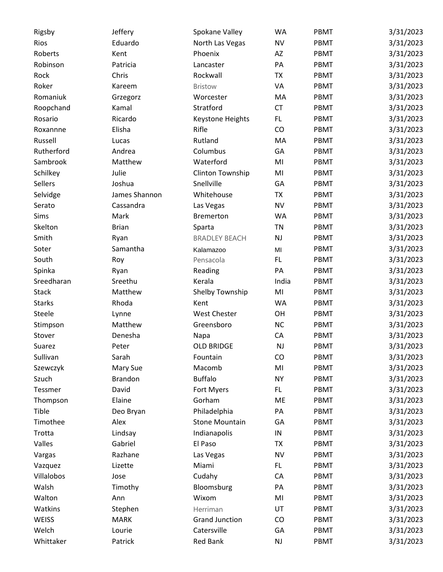| Rigsby        | Jeffery        | Spokane Valley        | <b>WA</b> | PBMT | 3/31/2023 |
|---------------|----------------|-----------------------|-----------|------|-----------|
| Rios          | Eduardo        | North Las Vegas       | <b>NV</b> | PBMT | 3/31/2023 |
| Roberts       | Kent           | Phoenix               | AZ        | PBMT | 3/31/2023 |
| Robinson      | Patricia       | Lancaster             | PA        | PBMT | 3/31/2023 |
| Rock          | Chris          | Rockwall              | <b>TX</b> | PBMT | 3/31/2023 |
| Roker         | Kareem         | <b>Bristow</b>        | VA        | PBMT | 3/31/2023 |
| Romaniuk      | Grzegorz       | Worcester             | MA        | PBMT | 3/31/2023 |
| Roopchand     | Kamal          | Stratford             | <b>CT</b> | PBMT | 3/31/2023 |
| Rosario       | Ricardo        | Keystone Heights      | FL.       | PBMT | 3/31/2023 |
| Roxannne      | Elisha         | Rifle                 | CO        | PBMT | 3/31/2023 |
| Russell       | Lucas          | Rutland               | MA        | PBMT | 3/31/2023 |
| Rutherford    | Andrea         | Columbus              | GA        | PBMT | 3/31/2023 |
| Sambrook      | Matthew        | Waterford             | MI        | PBMT | 3/31/2023 |
| Schilkey      | Julie          | Clinton Township      | MI        | PBMT | 3/31/2023 |
| Sellers       | Joshua         | Snellville            | GA        | PBMT | 3/31/2023 |
| Selvidge      | James Shannon  | Whitehouse            | <b>TX</b> | PBMT | 3/31/2023 |
| Serato        | Cassandra      | Las Vegas             | <b>NV</b> | PBMT | 3/31/2023 |
| Sims          | Mark           | <b>Bremerton</b>      | <b>WA</b> | PBMT | 3/31/2023 |
|               |                |                       |           |      |           |
| Skelton       | <b>Brian</b>   | Sparta                | TN        | PBMT | 3/31/2023 |
| Smith         | Ryan           | <b>BRADLEY BEACH</b>  | NJ        | PBMT | 3/31/2023 |
| Soter         | Samantha       | Kalamazoo             | MI        | PBMT | 3/31/2023 |
| South         | Roy            | Pensacola             | FL.       | PBMT | 3/31/2023 |
| Spinka        | Ryan           | Reading               | PA        | PBMT | 3/31/2023 |
| Sreedharan    | Sreethu        | Kerala                | India     | PBMT | 3/31/2023 |
| <b>Stack</b>  | Matthew        | Shelby Township       | MI        | PBMT | 3/31/2023 |
| <b>Starks</b> | Rhoda          | Kent                  | WA        | PBMT | 3/31/2023 |
| Steele        | Lynne          | <b>West Chester</b>   | OH        | PBMT | 3/31/2023 |
| Stimpson      | Matthew        | Greensboro            | <b>NC</b> | PBMT | 3/31/2023 |
| Stover        | Denesha        | Napa                  | CA        | PBMT | 3/31/2023 |
| Suarez        | Peter          | <b>OLD BRIDGE</b>     | NJ        | PBMT | 3/31/2023 |
| Sullivan      | Sarah          | Fountain              | CO        | PBMT | 3/31/2023 |
| Szewczyk      | Mary Sue       | Macomb                | MI        | PBMT | 3/31/2023 |
| Szuch         | <b>Brandon</b> | <b>Buffalo</b>        | <b>NY</b> | PBMT | 3/31/2023 |
| Tessmer       | David          | Fort Myers            | FL.       | PBMT | 3/31/2023 |
| Thompson      | Elaine         | Gorham                | ME        | PBMT | 3/31/2023 |
| Tible         | Deo Bryan      | Philadelphia          | PA        | PBMT | 3/31/2023 |
| Timothee      | Alex           | <b>Stone Mountain</b> | GA        | PBMT | 3/31/2023 |
| Trotta        | Lindsay        | Indianapolis          | IN        | PBMT | 3/31/2023 |
| Valles        | Gabriel        | El Paso               | <b>TX</b> | PBMT | 3/31/2023 |
| Vargas        | Razhane        | Las Vegas             | <b>NV</b> | PBMT | 3/31/2023 |
| Vazquez       | Lizette        | Miami                 | FL.       | PBMT | 3/31/2023 |
| Villalobos    | Jose           | Cudahy                | CA        | PBMT | 3/31/2023 |
| Walsh         | Timothy        | Bloomsburg            | PA        | PBMT | 3/31/2023 |
| Walton        | Ann            | Wixom                 | MI        | PBMT | 3/31/2023 |
| Watkins       | Stephen        | Herriman              | UT        | PBMT | 3/31/2023 |
| WEISS         | <b>MARK</b>    | <b>Grand Junction</b> | CO        | PBMT | 3/31/2023 |
| Welch         | Lourie         | Catersville           | GA        | PBMT | 3/31/2023 |
| Whittaker     | Patrick        | <b>Red Bank</b>       | NJ        | PBMT | 3/31/2023 |
|               |                |                       |           |      |           |